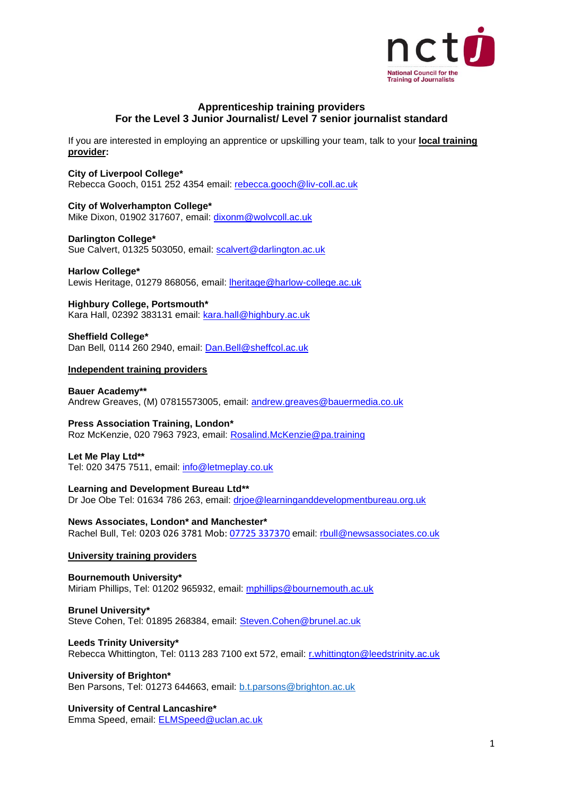

# **Apprenticeship training providers For the Level 3 Junior Journalist/ Level 7 senior journalist standard**

If you are interested in employing an apprentice or upskilling your team, talk to your **local training provider:**

# **City of Liverpool College\***

Rebecca Gooch, 0151 252 4354 email: [rebecca.gooch@liv-coll.ac.uk](mailto:rebecca.gooch@liv-coll.ac.uk)

## **City of Wolverhampton College\***

Mike Dixon, 01902 317607, email: [dixonm@wolvcoll.ac.uk](mailto:dixonm@wolvcoll.ac.uk)

### **Darlington College\***

Sue Calvert, 01325 503050, email: [scalvert@darlington.ac.uk](mailto:scalvert@darlington.ac.uk)

**Harlow College\*** Lewis Heritage, 01279 868056, email: [lheritage@harlow-college.ac.uk](mailto:lheritage@harlow-college.ac.uk)

**Highbury College, Portsmouth\*** Kara Hall, 02392 383131 email: [kara.hall@highbury.ac.uk](mailto:kara.hall@highbury.ac.uk)

**Sheffield College\*** Dan Bell*,* 0114 260 2940, email: [Dan.Bell@sheffcol.ac.uk](mailto:Dan.Bell@sheffcol.ac.uk)

## **Independent training providers**

**Bauer Academy\*\*** Andrew Greaves, (M) 07815573005, email: [andrew.greaves@bauermedia.co.uk](mailto:andrew.greaves@bauermedia.co.uk)

#### **Press Association Training, London\***  Roz McKenzie, 020 7963 7923, email: [Rosalind.McKenzie@pa.training](mailto:Rosalind.McKenzie@pa.training)

# **Let Me Play Ltd\*\***

Tel: 020 3475 7511, email: [info@letmeplay.co.uk](mailto:info@letmeplay.co.uk)

**Learning and Development Bureau Ltd\*\***

Dr Joe Obe Tel: 01634 786 263, email: [drjoe@learninganddevelopmentbureau.org.uk](mailto:drjoe@learninganddevelopmentbureau.org.uk)

**News Associates, London\* and Manchester\*** Rachel Bull, Tel: 0203 026 3781 Mob: 07725 [337370](mailto:07725 337370) email: [rbull@newsassociates.co.uk](mailto:rbull@newsassociates.co.uk)

### **University training providers**

**Bournemouth University\*** Miriam Phillips, Tel: 01202 965932, email: [mphillips@bournemouth.ac.uk](mailto:mphillips@bournemouth.ac.uk)

**Brunel University\*** Steve Cohen, Tel: 01895 268384, email: [Steven.Cohen@brunel.ac.uk](mailto:Steven.Cohen@brunel.ac.uk)

## **Leeds Trinity University\*** Rebecca Whittington, Tel: 0113 283 7100 ext 572, email: [r.whittington@leedstrinity.ac.uk](mailto:r.whittington@leedstrinity.ac.uk)

# **University of Brighton\***

Ben Parsons, Tel: 01273 644663, email: [b.t.parsons@brighton.ac.uk](mailto:b.t.parsons@brighton.ac.uk)

# **University of Central Lancashire\***

Emma Speed, email: [ELMSpeed@uclan.ac.uk](mailto:ELMSpeed@uclan.ac.uk)